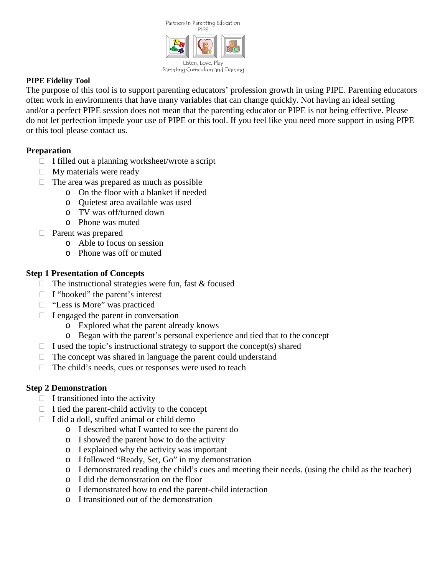

### **PIPE Fidelity Tool**

The purpose of this tool is to support parenting educators' profession growth in using PIPE. Parenting educators often work in environments that have many variables that can change quickly. Not having an ideal setting and/or a perfect PIPE session does not mean that the parenting educator or PIPE is not being effective. Please do not let perfection impede your use of PIPE or this tool. If you feel like you need more support in using PIPE or this tool please contact us.

## **Preparation**

- $\Box$  I filled out a planning worksheet/wrote a script
- $\Box$  My materials were ready
- $\Box$  The area was prepared as much as possible
	- o On the floor with a blanket if needed
	- o Quietest area available was used
	- o TV was off/turned down
	- o Phone was muted
- Parent was prepared
	- o Able to focus on session
	- o Phone was off or muted

### **Step 1 Presentation of Concepts**

- $\Box$  The instructional strategies were fun, fast & focused
- $\Box$  I "hooked" the parent's interest
- □ "Less is More" was practiced
- $\Box$  I engaged the parent in conversation
	- o Explored what the parent already knows
	- o Began with the parent's personal experience and tied that to the concept
- $\Box$  I used the topic's instructional strategy to support the concept(s) shared
- $\Box$  The concept was shared in language the parent could understand
- $\Box$  The child's needs, cues or responses were used to teach

## **Step 2 Demonstration**

- $\Box$  I transitioned into the activity
- $\Box$  I tied the parent-child activity to the concept
- $\Box$  I did a doll, stuffed animal or child demo
	- o I described what I wanted to see the parent do
	- o I showed the parent how to do the activity
	- o I explained why the activity wasimportant
	- o I followed "Ready, Set, Go" in my demonstration
	- o I demonstrated reading the child's cues and meeting their needs. (using the child as the teacher)
	- o I did the demonstration on the floor
	- o I demonstrated how to end the parent-child interaction
	- o I transitioned out of the demonstration